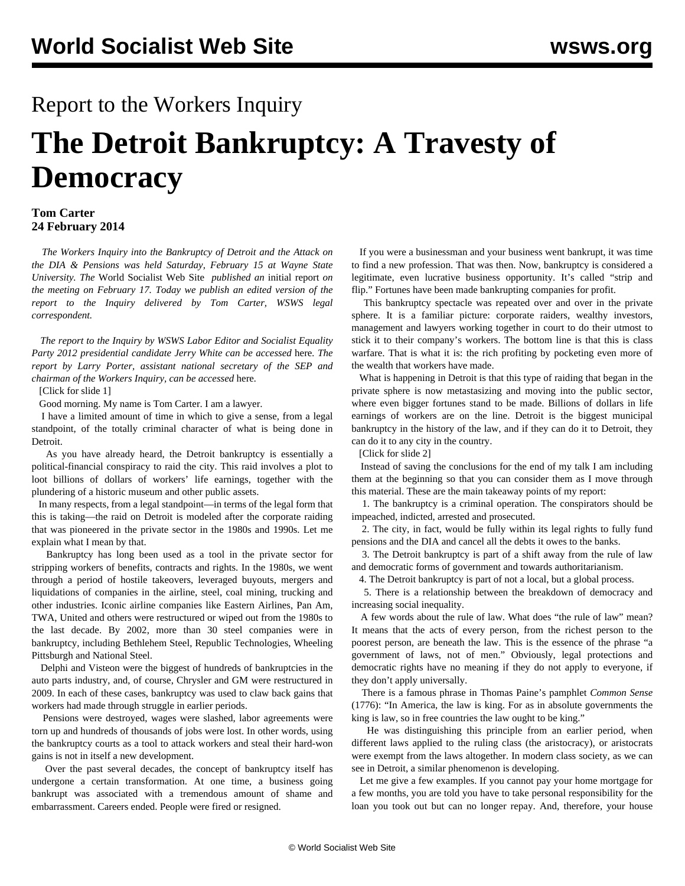## Report to the Workers Inquiry

# **The Detroit Bankruptcy: A Travesty of Democracy**

#### **Tom Carter 24 February 2014**

 *The Workers Inquiry into the Bankruptcy of Detroit and the Attack on the DIA & Pensions was held Saturday, February 15 at Wayne State University. The* World Socialist Web Site *published an* [initial report](/en/articles/2014/02/17/inqu-f17.html) *on the meeting on February 17. Today we publish an edited version of the report to the Inquiry delivered by Tom Carter, WSWS legal correspondent.*

 *The report to the Inquiry by WSWS Labor Editor and Socialist Equality Party 2012 presidential candidate Jerry White can be accessed* [here](/en/articles/2014/02/19/jerr-f19.html)*. The report by Larry Porter, assistant national secretary of the SEP and chairman of the Workers Inquiry, can be accessed* [here](/en/articles/2014/02/21/larr-f21.html)*.* 

[\[Click for slide 1](workspace://SpacesStore/bd65ac33-176d-4a64-b9fa-595c7ad760a3)]

Good morning. My name is Tom Carter. I am a lawyer.

 I have a limited amount of time in which to give a sense, from a legal standpoint, of the totally criminal character of what is being done in Detroit.

 As you have already heard, the Detroit bankruptcy is essentially a political-financial conspiracy to raid the city. This raid involves a plot to loot billions of dollars of workers' life earnings, together with the plundering of a historic museum and other public assets.

 In many respects, from a legal standpoint—in terms of the legal form that this is taking—the raid on Detroit is modeled after the corporate raiding that was pioneered in the private sector in the 1980s and 1990s. Let me explain what I mean by that.

 Bankruptcy has long been used as a tool in the private sector for stripping workers of benefits, contracts and rights. In the 1980s, we went through a period of hostile takeovers, leveraged buyouts, mergers and liquidations of companies in the airline, steel, coal mining, trucking and other industries. Iconic airline companies like Eastern Airlines, Pan Am, TWA, United and others were restructured or wiped out from the 1980s to the last decade. By 2002, more than 30 steel companies were in bankruptcy, including Bethlehem Steel, Republic Technologies, Wheeling Pittsburgh and National Steel.

 Delphi and Visteon were the biggest of hundreds of bankruptcies in the auto parts industry, and, of course, Chrysler and GM were restructured in 2009. In each of these cases, bankruptcy was used to claw back gains that workers had made through struggle in earlier periods.

 Pensions were destroyed, wages were slashed, labor agreements were torn up and hundreds of thousands of jobs were lost. In other words, using the bankruptcy courts as a tool to attack workers and steal their hard-won gains is not in itself a new development.

 Over the past several decades, the concept of bankruptcy itself has undergone a certain transformation. At one time, a business going bankrupt was associated with a tremendous amount of shame and embarrassment. Careers ended. People were fired or resigned.

 If you were a businessman and your business went bankrupt, it was time to find a new profession. That was then. Now, bankruptcy is considered a legitimate, even lucrative business opportunity. It's called "strip and flip." Fortunes have been made bankrupting companies for profit.

 This bankruptcy spectacle was repeated over and over in the private sphere. It is a familiar picture: corporate raiders, wealthy investors, management and lawyers working together in court to do their utmost to stick it to their company's workers. The bottom line is that this is class warfare. That is what it is: the rich profiting by pocketing even more of the wealth that workers have made.

 What is happening in Detroit is that this type of raiding that began in the private sphere is now metastasizing and moving into the public sector, where even bigger fortunes stand to be made. Billions of dollars in life earnings of workers are on the line. Detroit is the biggest municipal bankruptcy in the history of the law, and if they can do it to Detroit, they can do it to any city in the country.

[\[Click for slide 2](workspace://SpacesStore/2af12574-c83f-4e4f-99ef-a56c84d0f305)]

 Instead of saving the conclusions for the end of my talk I am including them at the beginning so that you can consider them as I move through this material. These are the main takeaway points of my report:

 1. The bankruptcy is a criminal operation. The conspirators should be impeached, indicted, arrested and prosecuted.

 2. The city, in fact, would be fully within its legal rights to fully fund pensions and the DIA and cancel all the debts it owes to the banks.

 3. The Detroit bankruptcy is part of a shift away from the rule of law and democratic forms of government and towards authoritarianism.

4. The Detroit bankruptcy is part of not a local, but a global process.

 5. There is a relationship between the breakdown of democracy and increasing social inequality.

 A few words about the rule of law. What does "the rule of law" mean? It means that the acts of every person, from the richest person to the poorest person, are beneath the law. This is the essence of the phrase "a government of laws, not of men." Obviously, legal protections and democratic rights have no meaning if they do not apply to everyone, if they don't apply universally.

 There is a famous phrase in Thomas Paine's pamphlet *Common Sense* (1776): "In America, the law is king. For as in absolute governments the king is law, so in free countries the law ought to be king."

 He was distinguishing this principle from an earlier period, when different laws applied to the ruling class (the aristocracy), or aristocrats were exempt from the laws altogether. In modern class society, as we can see in Detroit, a similar phenomenon is developing.

 Let me give a few examples. If you cannot pay your home mortgage for a few months, you are told you have to take personal responsibility for the loan you took out but can no longer repay. And, therefore, your house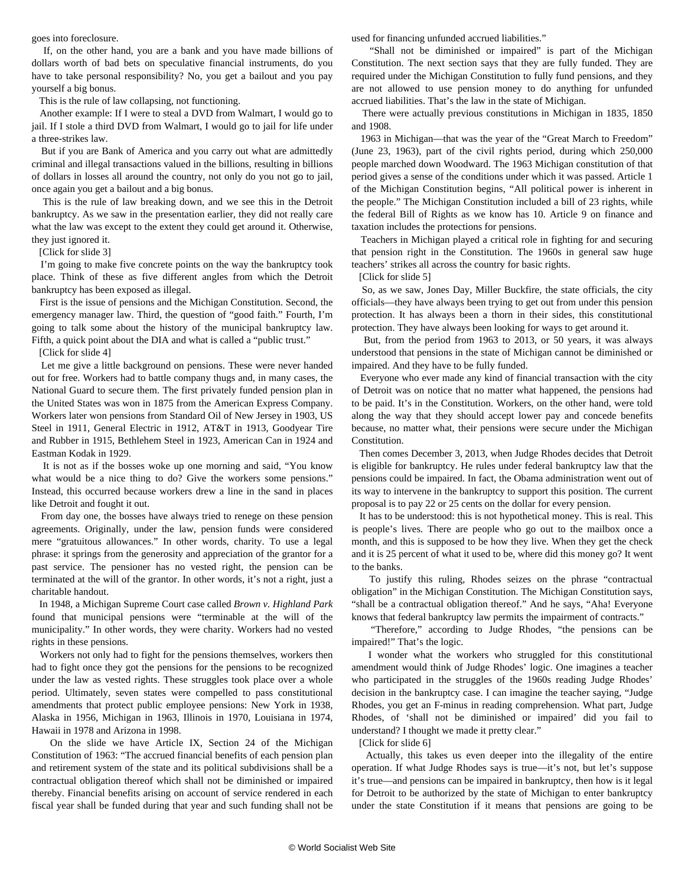goes into foreclosure.

 If, on the other hand, you are a bank and you have made billions of dollars worth of bad bets on speculative financial instruments, do you have to take personal responsibility? No, you get a bailout and you pay yourself a big bonus.

This is the rule of law collapsing, not functioning.

 Another example: If I were to steal a DVD from Walmart, I would go to jail. If I stole a third DVD from Walmart, I would go to jail for life under a three-strikes law.

 But if you are Bank of America and you carry out what are admittedly criminal and illegal transactions valued in the billions, resulting in billions of dollars in losses all around the country, not only do you not go to jail, once again you get a bailout and a big bonus.

 This is the rule of law breaking down, and we see this in the Detroit bankruptcy. As we saw in the presentation earlier, they did not really care what the law was except to the extent they could get around it. Otherwise, they just ignored it.

[\[Click for slide 3](workspace://SpacesStore/d06aee55-ff1d-46e3-b33d-64231b7368fe)]

 I'm going to make five concrete points on the way the bankruptcy took place. Think of these as five different angles from which the Detroit bankruptcy has been exposed as illegal.

 First is the issue of pensions and the Michigan Constitution. Second, the emergency manager law. Third, the question of "good faith." Fourth, I'm going to talk some about the history of the municipal bankruptcy law. Fifth, a quick point about the DIA and what is called a "public trust."

[\[Click for slide 4](workspace://SpacesStore/f3387d3a-2f4b-4354-867b-f93568f20e6d)]

 Let me give a little background on pensions. These were never handed out for free. Workers had to battle company thugs and, in many cases, the National Guard to secure them. The first privately funded pension plan in the United States was won in 1875 from the American Express Company. Workers later won pensions from Standard Oil of New Jersey in 1903, US Steel in 1911, General Electric in 1912, AT&T in 1913, Goodyear Tire and Rubber in 1915, Bethlehem Steel in 1923, American Can in 1924 and Eastman Kodak in 1929.

 It is not as if the bosses woke up one morning and said, "You know what would be a nice thing to do? Give the workers some pensions." Instead, this occurred because workers drew a line in the sand in places like Detroit and fought it out.

 From day one, the bosses have always tried to renege on these pension agreements. Originally, under the law, pension funds were considered mere "gratuitous allowances." In other words, charity. To use a legal phrase: it springs from the generosity and appreciation of the grantor for a past service. The pensioner has no vested right, the pension can be terminated at the will of the grantor. In other words, it's not a right, just a charitable handout.

 In 1948, a Michigan Supreme Court case called *Brown v. Highland Park* found that municipal pensions were "terminable at the will of the municipality." In other words, they were charity. Workers had no vested rights in these pensions.

 Workers not only had to fight for the pensions themselves, workers then had to fight once they got the pensions for the pensions to be recognized under the law as vested rights. These struggles took place over a whole period. Ultimately, seven states were compelled to pass constitutional amendments that protect public employee pensions: New York in 1938, Alaska in 1956, Michigan in 1963, Illinois in 1970, Louisiana in 1974, Hawaii in 1978 and Arizona in 1998.

 On the slide we have Article IX, Section 24 of the Michigan Constitution of 1963: "The accrued financial benefits of each pension plan and retirement system of the state and its political subdivisions shall be a contractual obligation thereof which shall not be diminished or impaired thereby. Financial benefits arising on account of service rendered in each fiscal year shall be funded during that year and such funding shall not be

used for financing unfunded accrued liabilities."

 "Shall not be diminished or impaired" is part of the Michigan Constitution. The next section says that they are fully funded. They are required under the Michigan Constitution to fully fund pensions, and they are not allowed to use pension money to do anything for unfunded accrued liabilities. That's the law in the state of Michigan.

 There were actually previous constitutions in Michigan in 1835, 1850 and 1908.

 1963 in Michigan—that was the year of the "Great March to Freedom" (June 23, 1963), part of the civil rights period, during which 250,000 people marched down Woodward. The 1963 Michigan constitution of that period gives a sense of the conditions under which it was passed. Article 1 of the Michigan Constitution begins, "All political power is inherent in the people." The Michigan Constitution included a bill of 23 rights, while the federal Bill of Rights as we know has 10. Article 9 on finance and taxation includes the protections for pensions.

 Teachers in Michigan played a critical role in fighting for and securing that pension right in the Constitution. The 1960s in general saw huge teachers' strikes all across the country for basic rights.

[\[Click for slide 5](workspace://SpacesStore/53e74656-1d07-4e39-b2d6-4e820edb42ea)]

 So, as we saw, Jones Day, Miller Buckfire, the state officials, the city officials—they have always been trying to get out from under this pension protection. It has always been a thorn in their sides, this constitutional protection. They have always been looking for ways to get around it.

 But, from the period from 1963 to 2013, or 50 years, it was always understood that pensions in the state of Michigan cannot be diminished or impaired. And they have to be fully funded.

 Everyone who ever made any kind of financial transaction with the city of Detroit was on notice that no matter what happened, the pensions had to be paid. It's in the Constitution. Workers, on the other hand, were told along the way that they should accept lower pay and concede benefits because, no matter what, their pensions were secure under the Michigan **Constitution** 

 Then comes December 3, 2013, when Judge Rhodes decides that Detroit is eligible for bankruptcy. He rules under federal bankruptcy law that the pensions could be impaired. In fact, the Obama administration went out of its way to intervene in the bankruptcy to support this position. The current proposal is to pay 22 or 25 cents on the dollar for every pension.

 It has to be understood: this is not hypothetical money. This is real. This is people's lives. There are people who go out to the mailbox once a month, and this is supposed to be how they live. When they get the check and it is 25 percent of what it used to be, where did this money go? It went to the banks.

 To justify this ruling, Rhodes seizes on the phrase "contractual obligation" in the Michigan Constitution. The Michigan Constitution says, "shall be a contractual obligation thereof." And he says, "Aha! Everyone knows that federal bankruptcy law permits the impairment of contracts."

 "Therefore," according to Judge Rhodes, "the pensions can be impaired!" That's the logic.

 I wonder what the workers who struggled for this constitutional amendment would think of Judge Rhodes' logic. One imagines a teacher who participated in the struggles of the 1960s reading Judge Rhodes' decision in the bankruptcy case. I can imagine the teacher saying, "Judge Rhodes, you get an F-minus in reading comprehension. What part, Judge Rhodes, of 'shall not be diminished or impaired' did you fail to understand? I thought we made it pretty clear."

[\[Click for slide 6](workspace://SpacesStore/e83fb52c-0820-4aae-b036-f4557956968b)]

 Actually, this takes us even deeper into the illegality of the entire operation. If what Judge Rhodes says is true—it's not, but let's suppose it's true—and pensions can be impaired in bankruptcy, then how is it legal for Detroit to be authorized by the state of Michigan to enter bankruptcy under the state Constitution if it means that pensions are going to be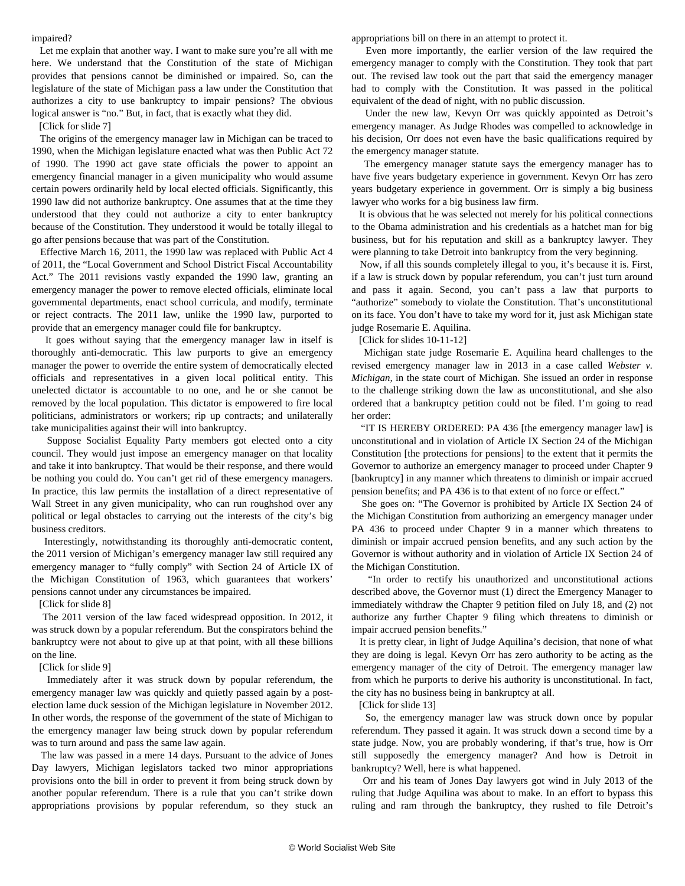#### impaired?

 Let me explain that another way. I want to make sure you're all with me here. We understand that the Constitution of the state of Michigan provides that pensions cannot be diminished or impaired. So, can the legislature of the state of Michigan pass a law under the Constitution that authorizes a city to use bankruptcy to impair pensions? The obvious logical answer is "no." But, in fact, that is exactly what they did.

#### [\[Click for slide 7](workspace://SpacesStore/458f8f7b-297f-44ac-83b2-494ccf3e160f)]

 The origins of the emergency manager law in Michigan can be traced to 1990, when the Michigan legislature enacted what was then Public Act 72 of 1990. The 1990 act gave state officials the power to appoint an emergency financial manager in a given municipality who would assume certain powers ordinarily held by local elected officials. Significantly, this 1990 law did not authorize bankruptcy. One assumes that at the time they understood that they could not authorize a city to enter bankruptcy because of the Constitution. They understood it would be totally illegal to go after pensions because that was part of the Constitution.

 Effective March 16, 2011, the 1990 law was replaced with Public Act 4 of 2011, the "Local Government and School District Fiscal Accountability Act." The 2011 revisions vastly expanded the 1990 law, granting an emergency manager the power to remove elected officials, eliminate local governmental departments, enact school curricula, and modify, terminate or reject contracts. The 2011 law, unlike the 1990 law, purported to provide that an emergency manager could file for bankruptcy.

 It goes without saying that the emergency manager law in itself is thoroughly anti-democratic. This law purports to give an emergency manager the power to override the entire system of democratically elected officials and representatives in a given local political entity. This unelected dictator is accountable to no one, and he or she cannot be removed by the local population. This dictator is empowered to fire local politicians, administrators or workers; rip up contracts; and unilaterally take municipalities against their will into bankruptcy.

 Suppose Socialist Equality Party members got elected onto a city council. They would just impose an emergency manager on that locality and take it into bankruptcy. That would be their response, and there would be nothing you could do. You can't get rid of these emergency managers. In practice, this law permits the installation of a direct representative of Wall Street in any given municipality, who can run roughshod over any political or legal obstacles to carrying out the interests of the city's big business creditors.

 Interestingly, notwithstanding its thoroughly anti-democratic content, the 2011 version of Michigan's emergency manager law still required any emergency manager to "fully comply" with Section 24 of Article IX of the Michigan Constitution of 1963, which guarantees that workers' pensions cannot under any circumstances be impaired.

[\[Click for slide 8](workspace://SpacesStore/23f83de7-0e92-4efb-aacf-733ff3f8df25)]

 The 2011 version of the law faced widespread opposition. In 2012, it was struck down by a popular referendum. But the conspirators behind the bankruptcy were not about to give up at that point, with all these billions on the line.

#### [\[Click for slide 9](workspace://SpacesStore/211e98e0-12a4-4b8f-823d-f9d44b60840d)]

 Immediately after it was struck down by popular referendum, the emergency manager law was quickly and quietly passed again by a postelection lame duck session of the Michigan legislature in November 2012. In other words, the response of the government of the state of Michigan to the emergency manager law being struck down by popular referendum was to turn around and pass the same law again.

 The law was passed in a mere 14 days. Pursuant to the advice of Jones Day lawyers, Michigan legislators tacked two minor appropriations provisions onto the bill in order to prevent it from being struck down by another popular referendum. There is a rule that you can't strike down appropriations provisions by popular referendum, so they stuck an

appropriations bill on there in an attempt to protect it.

 Even more importantly, the earlier version of the law required the emergency manager to comply with the Constitution. They took that part out. The revised law took out the part that said the emergency manager had to comply with the Constitution. It was passed in the political equivalent of the dead of night, with no public discussion.

 Under the new law, Kevyn Orr was quickly appointed as Detroit's emergency manager. As Judge Rhodes was compelled to acknowledge in his decision, Orr does not even have the basic qualifications required by the emergency manager statute.

 The emergency manager statute says the emergency manager has to have five years budgetary experience in government. Kevyn Orr has zero years budgetary experience in government. Orr is simply a big business lawyer who works for a big business law firm.

 It is obvious that he was selected not merely for his political connections to the Obama administration and his credentials as a hatchet man for big business, but for his reputation and skill as a bankruptcy lawyer. They were planning to take Detroit into bankruptcy from the very beginning.

 Now, if all this sounds completely illegal to you, it's because it is. First, if a law is struck down by popular referendum, you can't just turn around and pass it again. Second, you can't pass a law that purports to "authorize" somebody to violate the Constitution. That's unconstitutional on its face. You don't have to take my word for it, just ask Michigan state judge Rosemarie E. Aquilina.

[\[Click for slides 10](workspace://SpacesStore/629c0d79-7f5d-4e69-ba34-f3bfef176540)[-11](workspace://SpacesStore/8b18ddc2-5bcf-4e2f-9a1a-46b8abe58d4b)[-12](workspace://SpacesStore/ef80cd14-c815-4645-ba69-0815d0d27c71)]

 Michigan state judge Rosemarie E. Aquilina heard challenges to the revised emergency manager law in 2013 in a case called *Webster v. Michigan,* in the state court of Michigan*.* She issued an order in response to the challenge striking down the law as unconstitutional, and she also ordered that a bankruptcy petition could not be filed. I'm going to read her order:

 "IT IS HEREBY ORDERED: PA 436 [the emergency manager law] is unconstitutional and in violation of Article IX Section 24 of the Michigan Constitution [the protections for pensions] to the extent that it permits the Governor to authorize an emergency manager to proceed under Chapter 9 [bankruptcy] in any manner which threatens to diminish or impair accrued pension benefits; and PA 436 is to that extent of no force or effect."

 She goes on: "The Governor is prohibited by Article IX Section 24 of the Michigan Constitution from authorizing an emergency manager under PA 436 to proceed under Chapter 9 in a manner which threatens to diminish or impair accrued pension benefits, and any such action by the Governor is without authority and in violation of Article IX Section 24 of the Michigan Constitution.

 "In order to rectify his unauthorized and unconstitutional actions described above, the Governor must (1) direct the Emergency Manager to immediately withdraw the Chapter 9 petition filed on July 18, and (2) not authorize any further Chapter 9 filing which threatens to diminish or impair accrued pension benefits."

 It is pretty clear, in light of Judge Aquilina's decision, that none of what they are doing is legal. Kevyn Orr has zero authority to be acting as the emergency manager of the city of Detroit. The emergency manager law from which he purports to derive his authority is unconstitutional. In fact, the city has no business being in bankruptcy at all.

#### [\[Click for slide 13\]](workspace://SpacesStore/43bdc973-ae48-4c09-a042-61f7c39527d1)

 So, the emergency manager law was struck down once by popular referendum. They passed it again. It was struck down a second time by a state judge. Now, you are probably wondering, if that's true, how is Orr still supposedly the emergency manager? And how is Detroit in bankruptcy? Well, here is what happened.

 Orr and his team of Jones Day lawyers got wind in July 2013 of the ruling that Judge Aquilina was about to make. In an effort to bypass this ruling and ram through the bankruptcy, they rushed to file Detroit's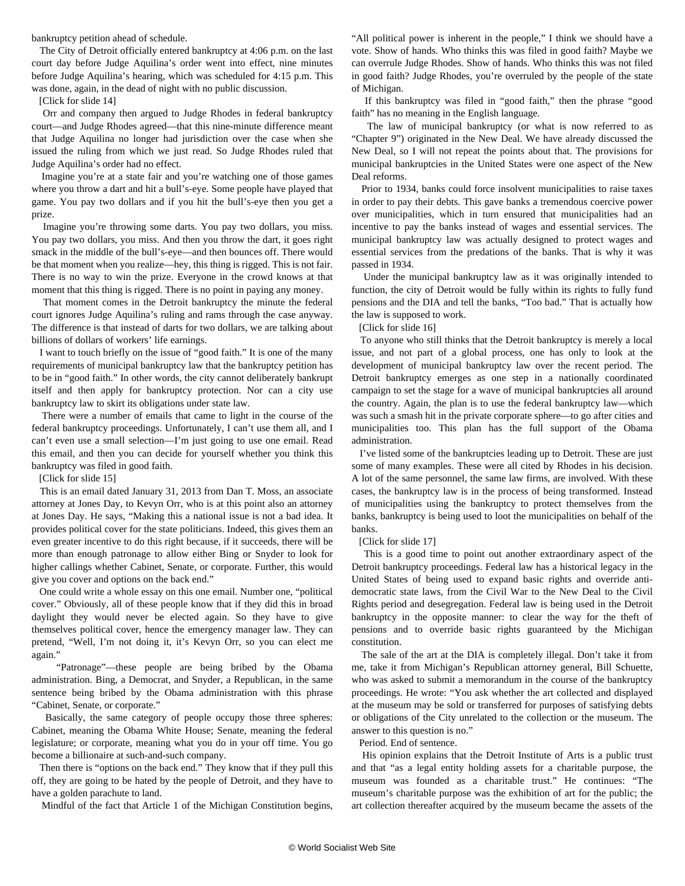bankruptcy petition ahead of schedule.

 The City of Detroit officially entered bankruptcy at 4:06 p.m. on the last court day before Judge Aquilina's order went into effect, nine minutes before Judge Aquilina's hearing, which was scheduled for 4:15 p.m. This was done, again, in the dead of night with no public discussion.

[\[Click for slide 14\]](workspace://SpacesStore/e0e69e27-eae0-41e8-8b9e-db7bac298727)

 Orr and company then argued to Judge Rhodes in federal bankruptcy court—and Judge Rhodes agreed—that this nine-minute difference meant that Judge Aquilina no longer had jurisdiction over the case when she issued the ruling from which we just read. So Judge Rhodes ruled that Judge Aquilina's order had no effect.

 Imagine you're at a state fair and you're watching one of those games where you throw a dart and hit a bull's-eye. Some people have played that game. You pay two dollars and if you hit the bull's-eye then you get a prize.

 Imagine you're throwing some darts. You pay two dollars, you miss. You pay two dollars, you miss. And then you throw the dart, it goes right smack in the middle of the bull's-eye—and then bounces off. There would be that moment when you realize—hey, this thing is rigged. This is not fair. There is no way to win the prize. Everyone in the crowd knows at that moment that this thing is rigged. There is no point in paying any money.

 That moment comes in the Detroit bankruptcy the minute the federal court ignores Judge Aquilina's ruling and rams through the case anyway. The difference is that instead of darts for two dollars, we are talking about billions of dollars of workers' life earnings.

 I want to touch briefly on the issue of "good faith." It is one of the many requirements of municipal bankruptcy law that the bankruptcy petition has to be in "good faith." In other words, the city cannot deliberately bankrupt itself and then apply for bankruptcy protection. Nor can a city use bankruptcy law to skirt its obligations under state law.

 There were a number of emails that came to light in the course of the federal bankruptcy proceedings. Unfortunately, I can't use them all, and I can't even use a small selection—I'm just going to use one email. Read this email, and then you can decide for yourself whether you think this bankruptcy was filed in good faith.

[\[Click for slide 15\]](workspace://SpacesStore/7f7ffa8a-5442-4953-afef-0953fdda0aa3)

 This is an email dated January 31, 2013 from Dan T. Moss, an associate attorney at Jones Day, to Kevyn Orr, who is at this point also an attorney at Jones Day. He says, "Making this a national issue is not a bad idea. It provides political cover for the state politicians. Indeed, this gives them an even greater incentive to do this right because, if it succeeds, there will be more than enough patronage to allow either Bing or Snyder to look for higher callings whether Cabinet, Senate, or corporate. Further, this would give you cover and options on the back end."

 One could write a whole essay on this one email. Number one, "political cover." Obviously, all of these people know that if they did this in broad daylight they would never be elected again. So they have to give themselves political cover, hence the emergency manager law. They can pretend, "Well, I'm not doing it, it's Kevyn Orr, so you can elect me again."

 "Patronage"—these people are being bribed by the Obama administration. Bing, a Democrat, and Snyder, a Republican, in the same sentence being bribed by the Obama administration with this phrase "Cabinet, Senate, or corporate."

 Basically, the same category of people occupy those three spheres: Cabinet, meaning the Obama White House; Senate, meaning the federal legislature; or corporate, meaning what you do in your off time. You go become a billionaire at such-and-such company.

 Then there is "options on the back end." They know that if they pull this off, they are going to be hated by the people of Detroit, and they have to have a golden parachute to land.

Mindful of the fact that Article 1 of the Michigan Constitution begins,

"All political power is inherent in the people," I think we should have a vote. Show of hands. Who thinks this was filed in good faith? Maybe we can overrule Judge Rhodes. Show of hands. Who thinks this was not filed in good faith? Judge Rhodes, you're overruled by the people of the state of Michigan.

 If this bankruptcy was filed in "good faith," then the phrase "good faith" has no meaning in the English language.

 The law of municipal bankruptcy (or what is now referred to as "Chapter 9") originated in the New Deal. We have already discussed the New Deal, so I will not repeat the points about that. The provisions for municipal bankruptcies in the United States were one aspect of the New Deal reforms.

 Prior to 1934, banks could force insolvent municipalities to raise taxes in order to pay their debts. This gave banks a tremendous coercive power over municipalities, which in turn ensured that municipalities had an incentive to pay the banks instead of wages and essential services. The municipal bankruptcy law was actually designed to protect wages and essential services from the predations of the banks. That is why it was passed in 1934.

 Under the municipal bankruptcy law as it was originally intended to function, the city of Detroit would be fully within its rights to fully fund pensions and the DIA and tell the banks, "Too bad." That is actually how the law is supposed to work.

[\[Click for slide 16\]](workspace://SpacesStore/3e120bcb-9635-4122-801b-0e29b44ad4b0)

 To anyone who still thinks that the Detroit bankruptcy is merely a local issue, and not part of a global process, one has only to look at the development of municipal bankruptcy law over the recent period. The Detroit bankruptcy emerges as one step in a nationally coordinated campaign to set the stage for a wave of municipal bankruptcies all around the country. Again, the plan is to use the federal bankruptcy law—which was such a smash hit in the private corporate sphere—to go after cities and municipalities too. This plan has the full support of the Obama administration.

 I've listed some of the bankruptcies leading up to Detroit. These are just some of many examples. These were all cited by Rhodes in his decision. A lot of the same personnel, the same law firms, are involved. With these cases, the bankruptcy law is in the process of being transformed. Instead of municipalities using the bankruptcy to protect themselves from the banks, bankruptcy is being used to loot the municipalities on behalf of the banks.

[\[Click for slide 17\]](workspace://SpacesStore/9dae2fe5-350f-44de-951b-539a3d213f30)

 This is a good time to point out another extraordinary aspect of the Detroit bankruptcy proceedings. Federal law has a historical legacy in the United States of being used to expand basic rights and override antidemocratic state laws, from the Civil War to the New Deal to the Civil Rights period and desegregation. Federal law is being used in the Detroit bankruptcy in the opposite manner: to clear the way for the theft of pensions and to override basic rights guaranteed by the Michigan constitution.

 The sale of the art at the DIA is completely illegal. Don't take it from me, take it from Michigan's Republican attorney general, Bill Schuette, who was asked to submit a memorandum in the course of the bankruptcy proceedings. He wrote: "You ask whether the art collected and displayed at the museum may be sold or transferred for purposes of satisfying debts or obligations of the City unrelated to the collection or the museum. The answer to this question is no."

Period. End of sentence.

 His opinion explains that the Detroit Institute of Arts is a public trust and that "as a legal entity holding assets for a charitable purpose, the museum was founded as a charitable trust." He continues: "The museum's charitable purpose was the exhibition of art for the public; the art collection thereafter acquired by the museum became the assets of the